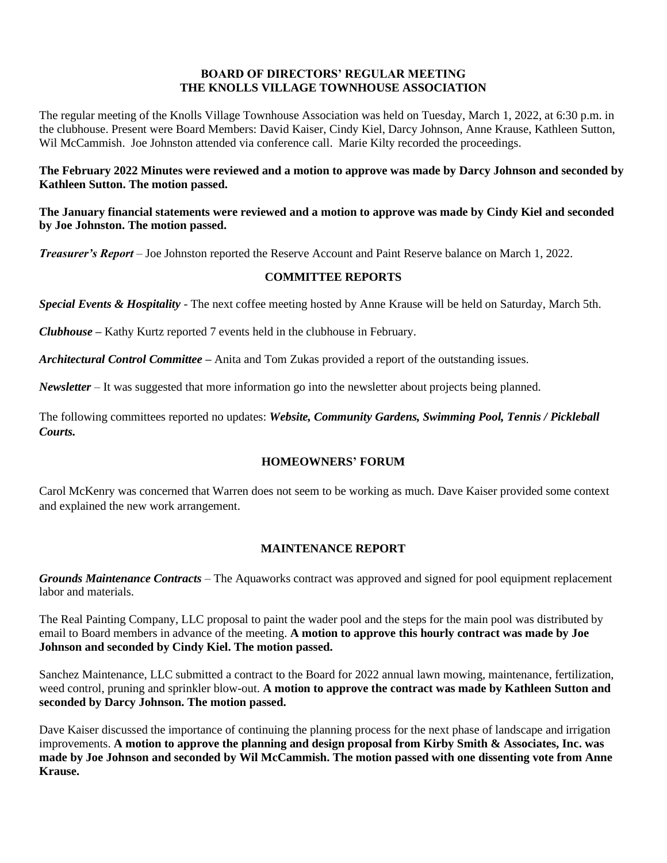# **BOARD OF DIRECTORS' REGULAR MEETING THE KNOLLS VILLAGE TOWNHOUSE ASSOCIATION**

The regular meeting of the Knolls Village Townhouse Association was held on Tuesday, March 1, 2022, at 6:30 p.m. in the clubhouse. Present were Board Members: David Kaiser, Cindy Kiel, Darcy Johnson, Anne Krause, Kathleen Sutton, Wil McCammish. Joe Johnston attended via conference call. Marie Kilty recorded the proceedings.

**The February 2022 Minutes were reviewed and a motion to approve was made by Darcy Johnson and seconded by Kathleen Sutton. The motion passed.**

**The January financial statements were reviewed and a motion to approve was made by Cindy Kiel and seconded by Joe Johnston. The motion passed.**

*Treasurer's Report* – Joe Johnston reported the Reserve Account and Paint Reserve balance on March 1, 2022.

# **COMMITTEE REPORTS**

*Special Events & Hospitality* - The next coffee meeting hosted by Anne Krause will be held on Saturday, March 5th.

*Clubhouse* **–** Kathy Kurtz reported 7 events held in the clubhouse in February.

*Architectural Control Committee* **–** Anita and Tom Zukas provided a report of the outstanding issues.

*Newsletter* – It was suggested that more information go into the newsletter about projects being planned.

The following committees reported no updates: *Website, Community Gardens, Swimming Pool, Tennis / Pickleball Courts.*

# **HOMEOWNERS' FORUM**

Carol McKenry was concerned that Warren does not seem to be working as much. Dave Kaiser provided some context and explained the new work arrangement.

# **MAINTENANCE REPORT**

*Grounds Maintenance Contracts* – The Aquaworks contract was approved and signed for pool equipment replacement labor and materials.

The Real Painting Company, LLC proposal to paint the wader pool and the steps for the main pool was distributed by email to Board members in advance of the meeting. **A motion to approve this hourly contract was made by Joe Johnson and seconded by Cindy Kiel. The motion passed.**

Sanchez Maintenance, LLC submitted a contract to the Board for 2022 annual lawn mowing, maintenance, fertilization, weed control, pruning and sprinkler blow-out. **A motion to approve the contract was made by Kathleen Sutton and seconded by Darcy Johnson. The motion passed.**

Dave Kaiser discussed the importance of continuing the planning process for the next phase of landscape and irrigation improvements. **A motion to approve the planning and design proposal from Kirby Smith & Associates, Inc. was made by Joe Johnson and seconded by Wil McCammish. The motion passed with one dissenting vote from Anne Krause.**